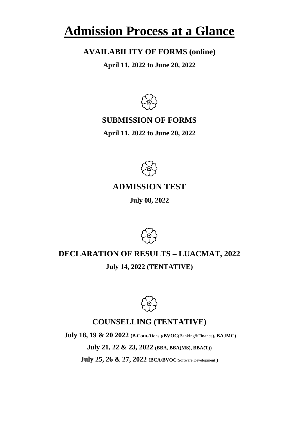# **Admission Process at a Glance**

# **AVAILABILITY OF FORMS (online)**

**April 11, 2022 to June 20, 2022**



# **SUBMISSION OF FORMS**

**April 11, 2022 to June 20, 2022**



# **ADMISSION TEST**

**July 08, 2022**



# **DECLARATION OF RESULTS – LUACMAT, 2022 July 14, 2022 (TENTATIVE)**



# **COUNSELLING (TENTATIVE)**

**July 18, 19 & 20 2022 (B.Com.**(Hons.)**/BVOC**(Banking&Finance)**, BAJMC)**

**July 21, 22 & 23, 2022 (BBA, BBA(MS), BBA(T))**

**July 25, 26 & 27, 2022 (BCA/BVOC**(Software Development)**)**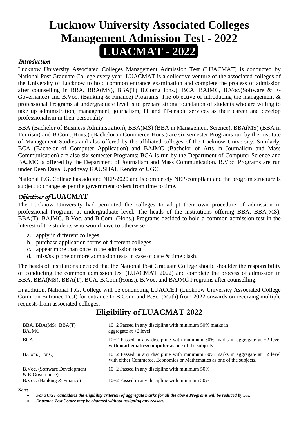# **Lucknow University Associated Colleges Management Admission Test - 2022 LUACMAT - 2022**

## *Introduction*

Lucknow University Associated Colleges Management Admission Test (LUACMAT) is conducted by National Post Graduate College every year. LUACMAT is a collective venture of the associated colleges of the University of Lucknow to hold common entrance examination and complete the process of admission after counselling in BBA, BBA(MS), BBA(T) B.Com.(Hons.), BCA, BAJMC, B.Voc.(Software & E-Governance) and B.Voc. (Banking  $\&$  Finance) Programs. The objective of introducing the management  $\&$ professional Programs at undergraduate level is to prepare strong foundation of students who are willing to take up administration, management, journalism, IT and IT-enable services as their career and develop professionalism in their personality.

BBA (Bachelor of Business Administration), BBA(MS) (BBA in Management Science), BBA(MS) (BBA in Tourism) and B.Com.(Hons.) (Bachelor in Commerce-Hons.) are six semester Programs run by the Institute of Management Studies and also offered by the affiliated colleges of the Lucknow University. Similarly, BCA (Bachelor of Computer Application) and BAJMC (Bachelor of Arts in Journalism and Mass Communication) are also six semester Programs; BCA is run by the Department of Computer Science and BAJMC is offered by the Department of Journalism and Mass Communication. B.Voc. Programs are run under Deen Dayal Upadhyay KAUSHAL Kendra of UGC.

National P.G. College has adopted NEP-2020 and is completely NEP-compliant and the program structure is subject to change as per the government orders from time to time.

## *Objectives of* **LUACMAT**

The Lucknow University had permitted the colleges to adopt their own procedure of admission in professional Programs at undergraduate level. The heads of the institutions offering BBA, BBA(MS), BBA(T), BAJMC, B.Voc. and B.Com. (Hons.) Programs decided to hold a common admission test in the interest of the students who would have to otherwise

- a. apply in different colleges
- b. purchase application forms of different colleges
- c. appear more than once in the admission test
- d. miss/skip one or more admission tests in case of date & time clash.

The heads of institutions decided that the National Post Graduate College should shoulder the responsibility of conducting the common admission test (LUACMAT 2022) and complete the process of admission in BBA, BBA(MS), BBA(T), BCA, B.Com.(Hons.), B.Voc. and BAJMC Programs after counselling.

In addition, National P.G. College will be conducting LUACCET (Lucknow University Associated College Common Entrance Test) for entrance to B.Com. and B.Sc. (Math) from 2022 onwards on receiving multiple requests from associated colleges.

# **Eligibility of LUACMAT 2022**

| BBA, BBA(MS), BBA(T)<br><b>BAJMC</b>              | $10+2$ Passed in any discipline with minimum 50% marks in<br>aggregate at $+2$ level.                                                                     |
|---------------------------------------------------|-----------------------------------------------------------------------------------------------------------------------------------------------------------|
| <b>BCA</b>                                        | 10+2 Passed in any discipline with minimum 50% marks in aggregate at $+2$ level<br>with mathematics/computer as one of the subjects.                      |
| B.Com.(Hons.)                                     | 10+2 Passed in any discipline with minimum 60% marks in aggregate at $+2$ level<br>with either Commerce, Economics or Mathematics as one of the subjects. |
| B.Voc. (Software Development<br>$& E-Governance)$ | $10+2$ Passed in any discipline with minimum 50%                                                                                                          |
| B.Voc. (Banking & Finance)                        | $10+2$ Passed in any discipline with minimum 50%                                                                                                          |
| Note:                                             |                                                                                                                                                           |

- *For SC/ST candidates the eligibility criterion of aggregate marks for all the above Programs will be reduced by 5%.*
	- *Entrance Test Centre may be changed without assigning any reason.*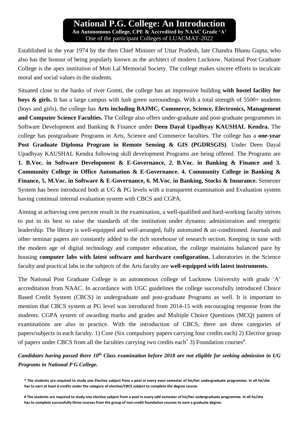## **National P.G. College: An Introduction An Autonomous College, CPE & Accredited by NAAC Grade 'A'** One of the participant Colleges of LUACMAT-2022

Established in the year 1974 by the then Chief Minister of Uttar Pradesh, late Chandra Bhanu Gupta, who also has the honour of being popularly known as the architect of modern Lucknow. National Post Graduate College is the apex institution of Moti Lal Memorial Society. The college makes sincere efforts to inculcate moral and social values in the students.

Situated close to the banks of river Gomti, the college has an impressive building **with hostel facility for boys & girls.** It has a large campus with lush green surroundings. With a total strength of 5500+ students (boys and girls), the college has **Arts including BAJMC, Commerce, Science, Electronics, Management and Computer Science Faculties.** The College also offers under-graduate and post-graduate programmes in Software Development and Banking & Finance under **Deen Dayal Upadhyay KAUSHAL Kendra.** The college has postgraduate Programs in Arts, Science and Commerce faculties. The college has a **one-year Post Graduate Diploma Program in Remote Sensing & GIS (PGDRSGIS)**. Under Deen Dayal Upadhyay KAUSHAL Kendra following skill development Programs are being offered. The Programs are **1. B.Voc. in Software Development & E-Governance, 2. B.Voc. in Banking & Finance and 3. Community College in Office Automation & E-Governance. 4. Community College in Banking & Finance, 5. M.Voc. in Software & E-Governance, 6. M.Voc. in Banking, Stocks & Insurance.** Semester System has been introduced both at UG & PG levels with a transparent examination and Evaluation system having continual internal evaluation system with CBCS and CGPA.

Aiming at achieving cent percent result in the examination, a well-qualified and hard-working faculty strives to put in its best to raise the standards of the institution under dynamic administration and energetic leadership. The library is well-equipped and well-arranged, fully automated & air-conditioned. Journals and other seminar papers are constantly added to the rich storehouse of research section. Keeping in tune with the modern age of digital technology and computer education, the college maintains balanced pace by housing **computer labs with latest software and hardware configuration.** Laboratories in the Science faculty and practical labs in the subjects of the Arts faculty are **well-equipped with latest instruments.**

The National Post Graduate College is an autonomous college of Lucknow University with grade 'A' accreditation from NAAC. In accordance with UGC guidelines the college successfully introduced Choice Based Credit System (CBCS) in undergraduate and post-graduate Programs as well. It is important to mention that CBCS system at PG level was introduced from 2014-15 with encouraging response from the students. CGPA system of awarding marks and grades and Multiple Choice Questions (MCQ) pattern of examinations are also in practice. With the introduction of CBCS, there are three categories of papers/subjects in each faculty. 1) Core (Six compulsory papers carrying four credits each) 2) Elective group of papers under CBCS from all the faculties carrying two credits each<sup>\*</sup> 3) Foundation courses<sup>#</sup>.

*Candidates having passed there 10th Class examination before 2018 are not eligible for seeking admission in UG Programs in National P G College.*

**<sup>\*</sup> The students are required to study one Elective subject from a pool in every even semester of his/her undergraduate programme. In all he/she has to earn at least 6 credits under the category of elective/CBCS subject to complete the degree course.**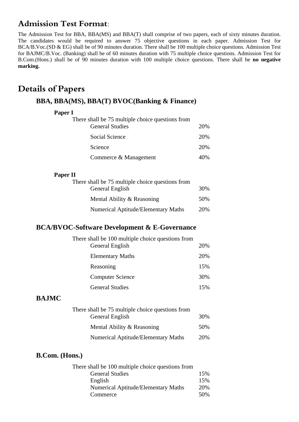# **Admission Test Format:**

The Admission Test for BBA, BBA(MS) and BBA(T) shall comprise of two papers, each of sixty minutes duration. The candidates would be required to answer 75 objective questions in each paper. Admission Test for BCA/B.Voc.(SD & EG) shall be of 90 minutes duration. There shall be 100 multiple choice questions. Admission Test for BAJMC/B.Voc. (Banking) shall be of 60 minutes duration with 75 multiple choice questions. Admission Test for B.Com.(Hons.) shall be of 90 minutes duration with 100 multiple choice questions. There shall be **no negative marking.**

# **Details of Papers**

## **BBA, BBA(MS), BBA(T) BVOC(Banking & Finance)**

#### **Paper I**

| There shall be 75 multiple choice questions from |     |
|--------------------------------------------------|-----|
| <b>General Studies</b>                           | 20% |
| Social Science                                   | 20% |
| Science                                          | 20% |
| Commerce & Management                            | 40% |

#### **Paper II**

| There shall be 75 multiple choice questions from |     |
|--------------------------------------------------|-----|
| General English                                  | 30% |
| Mental Ability & Reasoning                       | 50% |
| <b>Numerical Aptitude/Elementary Maths</b>       | 20% |

## **BCA/BVOC-Software Development & E-Governance**

| There shall be 100 multiple choice questions from |     |
|---------------------------------------------------|-----|
| General English                                   | 20% |
| <b>Elementary Maths</b>                           | 20% |
| Reasoning                                         | 15% |
| <b>Computer Science</b>                           | 30% |
| <b>General Studies</b>                            | 15% |

#### **BAJMC**

| There shall be 75 multiple choice questions from |     |
|--------------------------------------------------|-----|
| General English                                  | 30% |
| Mental Ability & Reasoning                       | 50% |
| <b>Numerical Aptitude/Elementary Maths</b>       | 20% |

#### **B.Com. (Hons.)**

| There shall be 100 multiple choice questions from |     |
|---------------------------------------------------|-----|
| <b>General Studies</b>                            | 15% |
| English                                           | 15% |
| <b>Numerical Aptitude/Elementary Maths</b>        | 20% |
| Commerce                                          | 50% |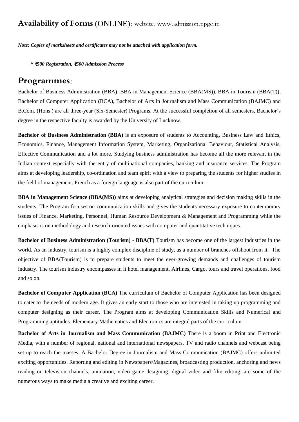# **Availability of Forms** (ONLINE)**:** website: www.admission.npgc.in

*Note: Copies of marksheets and certificates may not be attached with application form.*

*\** ₹*500 Registration,* ₹*500 Admission Process*

## **Programmes:**

Bachelor of Business Administration (BBA), BBA in Management Science (BBA(MS)), BBA in Tourism (BBA(T)), Bachelor of Computer Application (BCA), Bachelor of Arts in Journalism and Mass Communication (BAJMC) and B.Com. (Hons.) are all three-year (Six-Semester) Programs. At the successful completion of all semesters, Bachelor's degree in the respective faculty is awarded by the University of Lucknow.

**Bachelor of Business Administration (BBA)** is an exposure of students to Accounting, Business Law and Ethics, Economics, Finance, Management Information System, Marketing, Organizational Behaviour, Statistical Analysis, Effective Communication and a lot more. Studying business administration has become all the more relevant in the Indian context especially with the entry of multinational companies, banking and insurance services. The Program aims at developing leadership, co-ordination and team spirit with a view to preparing the students for higher studies in the field of management. French as a foreign language is also part of the curriculum.

**BBA in Management Science (BBA(MS))** aims at developing analytical strategies and decision making skills in the students. The Program focuses on communication skills and gives the students necessary exposure to contemporary issues of Finance, Marketing, Personnel, Human Resource Development & Management and Programming while the emphasis is on methodology and research-oriented issues with computer and quantitative techniques.

**Bachelor of Business Administration (Tourism) - BBA(T)** Tourism has become one of the largest industries in the world. As an industry, tourism is a highly complex discipline of study, as a number of branches offshoot from it. The objective of BBA(Tourism) is to prepare students to meet the ever-growing demands and challenges of tourism industry. The tourism industry encompasses in it hotel management, Airlines, Cargo, tours and travel operations, food and so on.

**Bachelor of Computer Application (BCA)** The curriculum of Bachelor of Computer Application has been designed to cater to the needs of modern age. It gives an early start to those who are interested in taking up programming and computer designing as their career. The Program aims at developing Communication Skills and Numerical and Programming aptitudes. Elementary Mathematics and Electronics are integral parts of the curriculum.

**Bachelor of Arts in Journalism and Mass Communication (BAJMC)** There is a boom in Print and Electronic Media, with a number of regional, national and international newspapers, TV and radio channels and webcast being set up to reach the masses. A Bachelor Degree in Journalism and Mass Communication (BAJMC) offers unlimited exciting opportunities. Reporting and editing in Newspapers/Magazines, broadcasting production, anchoring and news reading on television channels, animation, video game designing, digital video and film editing, are some of the numerous ways to make media a creative and exciting career.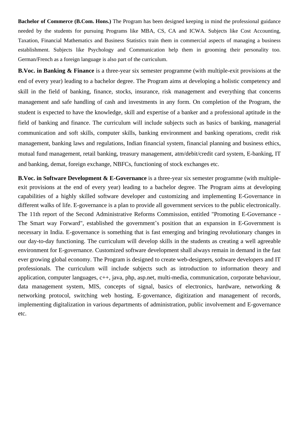**Bachelor of Commerce (B.Com. Hons.)** The Program has been designed keeping in mind the professional guidance needed by the students for pursuing Programs like MBA, CS, CA and ICWA. Subjects like Cost Accounting, Taxation, Financial Mathematics and Business Statistics train them in commercial aspects of managing a business establishment. Subjects like Psychology and Communication help them in grooming their personality too. German/French as a foreign language is also part of the curriculum.

**B.Voc. in Banking & Finance** is a three-year six semester programme (with multiple-exit provisions at the end of every year) leading to a bachelor degree. The Program aims at developing a holistic competency and skill in the field of banking, finance, stocks, insurance, risk management and everything that concerns management and safe handling of cash and investments in any form. On completion of the Program, the student is expected to have the knowledge, skill and expertise of a banker and a professional aptitude in the field of banking and finance. The curriculum will include subjects such as basics of banking, managerial communication and soft skills, computer skills, banking environment and banking operations, credit risk management, banking laws and regulations, Indian financial system, financial planning and business ethics, mutual fund management, retail banking, treasury management, atm/debit/credit card system, E-banking, IT and banking, demat, foreign exchange, NBFCs, functioning of stock exchanges etc.

**B.Voc. in Software Development & E-Governance** is a three-year six semester programme (with multipleexit provisions at the end of every year) leading to a bachelor degree. The Program aims at developing capabilities of a highly skilled software developer and customizing and implementing E-Governance in different walks of life. E-governance is a plan to provide all government services to the public electronically. The 11th report of the Second Administrative Reforms Commission, entitled "Promoting E-Governance - The Smart way Forward", established the government's position that an expansion in E-Government is necessary in India. E-governance is something that is fast emerging and bringing revolutionary changes in our day-to-day functioning. The curriculum will develop skills in the students as creating a well agreeable environment for E-governance. Customized software development shall always remain in demand in the fast ever growing global economy. The Program is designed to create web-designers, software developers and IT professionals. The curriculum will include subjects such as introduction to information theory and application, computer languages, c++, java, php, asp.net, multi-media, communication, corporate behaviour, data management system, MIS, concepts of signal, basics of electronics, hardware, networking & networking protocol, switching web hosting, E-governance, digitization and management of records, implementing digitalization in various departments of administration, public involvement and E-governance etc.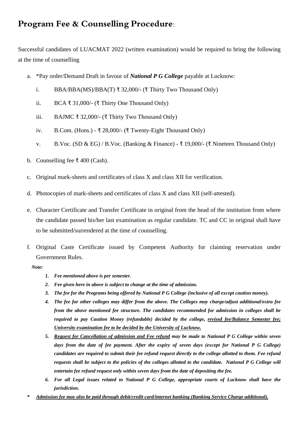# **Program Fee & Counselling Procedure:**

Successful candidates of LUACMAT 2022 (written examination) would be required to bring the following at the time of counselling

- a. \*Pay order/Demand Draft in favour of *National P G College* payable at Lucknow:
	- i. BBA/BBA(MS)/BBA(T) ₹ 32,000/- (₹ Thirty Two Thousand Only)
	- ii. BCA ₹ 31,000/- (₹ Thirty One Thousand Only)
	- iii. BAJMC ₹ 32,000/- (₹ Thirty Two Thousand Only)
	- iv. B.Com. (Hons.) ₹ 28,000/- (₹ Twenty-Eight Thousand Only)
	- v. B.Voc. (SD & EG) / B.Voc. (Banking & Finance)  $\overline{\tau}$  19,000/- ( $\overline{\tau}$  Nineteen Thousand Only)
- b. Counselling fee ₹ 400 (Cash).
- c. Original mark-sheets and certificates of class X and class XII for verification.
- d. Photocopies of mark-sheets and certificates of class X and class XII (self-attested).
- e. Character Certificate and Transfer Certificate in original from the head of the institution from where the candidate passed his/her last examination as regular candidate. TC and CC in original shall have to be submitted/surrendered at the time of counselling.
- f. Original Caste Certificate issued by Competent Authority for claiming reservation under Government Rules.
	- *Note:*
- *1. Fee mentioned above is per semester.*
- *2. Fee given here in above is subject to change at the time of admission.*
- *3. The fee for the Programs being offered by National P G College (inclusive of all except caution money).*
- *4. The fee for other colleges may differ from the above. The Colleges may charge/adjust additional/extra fee from the above mentioned fee structure. The candidates recommended for admission in colleges shall be required to pay Caution Money (refundable) decided by the college, revised fee/Balance Semester fee; University examination fee to be decided by the University of Lucknow.*
- *5. Request for Cancellation of admission and Fee refund may be made to National P G College within seven days from the date of fee payment. After the expiry of seven days (except for National P G College) candidates are required to submit their fee refund request directly to the college allotted to them. Fee refund requests shall be subject to the policies of the colleges allotted to the candidate. National P G College will entertain fee refund request only within seven days from the date of depositing the fee.*
- *6. For all Legal issues related to National P G College, appropriate courts of Lucknow shall have the jurisdiction.*
- *\* Admission fee may also be paid through debit/credit card/internet banking (Banking Service Charge additional).*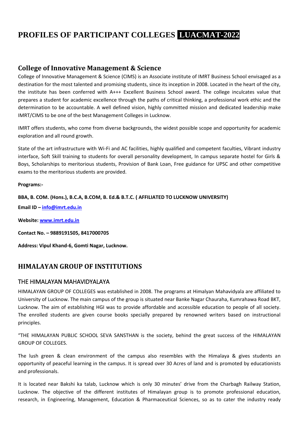# **PROFILES OF PARTICIPANT COLLEGES LUACMAT-2022**

## **College of Innovative Management & Science**

College of Innovative Management & Science (CIMS) is an Associate institute of IMRT Business School envisaged as a destination for the most talented and promising students, since its inception in 2008. Located in the heart of the city, the institute has been conferred with A+++ Excellent Business School award. The college inculcates value that prepares a student for academic excellence through the paths of critical thinking, a professional work ethic and the determination to be accountable. A well defined vision, highly committed mission and dedicated leadership make IMRT/CIMS to be one of the best Management Colleges in Lucknow.

IMRT offers students, who come from diverse backgrounds, the widest possible scope and opportunity for academic exploration and all round growth.

State of the art infrastructure with Wi-Fi and AC facilities, highly qualified and competent faculties, Vibrant industry interface, Soft Skill training to students for overall personality development, In campus separate hostel for Girls & Boys, Scholarships to meritorious students, Provision of Bank Loan, Free guidance for UPSC and other competitive exams to the meritorious students are provided.

**Programs:-**

**BBA, B. COM. (Hons.), B.C.A, B.COM, B. Ed.& B.T.C. ( AFFILIATED TO LUCKNOW UNIVERSITY) Email ID – [info@imrt.edu.in](mailto:info@imrt.edu.in)**

**Website: [www.imrt.edu.in](http://www.imrt.edu.in/)**

**Contact No. – 9889191505, 8417000705**

**Address: Vipul Khand-6, Gomti Nagar, Lucknow.**

# **HIMALAYAN GROUP OF INSTITUTIONS**

#### THE HIMALAYAN MAHAVIDYALAYA

HIMALAYAN GROUP OF COLLEGES was established in 2008. The programs at Himalyan Mahavidyala are affiliated to University of Lucknow. The main campus of the group is situated near Banke Nagar Chauraha, Kumrahawa Road BKT, Lucknow. The aim of establishing HGI was to provide affordable and accessible education to people of all society. The enrolled students are given course books specially prepared by renowned writers based on instructional principles.

"THE HIMALAYAN PUBLIC SCHOOL SEVA SANSTHAN is the society, behind the great success of the HIMALAYAN GROUP OF COLLEGES.

The lush green & clean environment of the campus also resembles with the Himalaya & gives students an opportunity of peaceful learning in the campus. It is spread over 30 Acres of land and is promoted by educationists and professionals.

It is located near Bakshi ka talab, Lucknow which is only 30 minutes' drive from the Charbagh Railway Station, Lucknow. The objective of the different institutes of Himalayan group is to promote professional education, research, in Engineering, Management, Education & Pharmaceutical Sciences, so as to cater the industry ready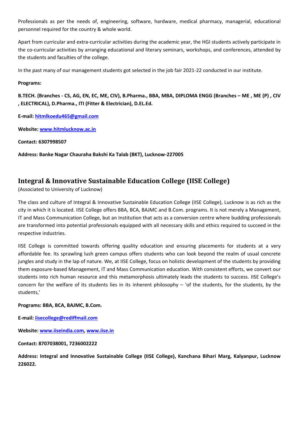Professionals as per the needs of, engineering, software, hardware, medical pharmacy, managerial, educational personnel required for the country & whole world.

Apart from curricular and extra-curricular activities during the academic year, the HGI students actively participate in the co-curricular activities by arranging educational and literary seminars, workshops, and conferences, attended by the students and faculties of the college.

In the past many of our management students got selected in the job fair 2021-22 conducted in our institute.

#### **Programs:**

**B.TECH. (Branches - CS, AG, EN, EC, ME, CIV), B.Pharma., BBA, MBA, DIPLOMA ENGG (Branches – ME , ME (P) , CIV , ELECTRICAL), D.Pharma., ITI (Fitter & Electrician), D.EL.Ed.**

**E-mail: [hitmlkoedu465@gmail.com](mailto:hitmlkoedu465@gmail.com)**

**Website: [www.hitmlucknow.ac.in](http://www.hitmlucknow.ac.in/)**

**Contact: 6307998507**

**Address: Banke Nagar Chauraha Bakshi Ka Talab (BKT), Lucknow-227005**

## **Integral & Innovative Sustainable Education College (IISE College)**

(Associated to University of Lucknow)

The class and culture of Integral & Innovative Sustainable Education College (IISE College), Lucknow is as rich as the city in which it is located. IISE College offers BBA, BCA, BAJMC and B.Com. programs. It is not merely a Management, IT and Mass Communication College, but an Institution that acts as a conversion centre where budding professionals are transformed into potential professionals equipped with all necessary skills and ethics required to succeed in the respective industries.

IISE College is committed towards offering quality education and ensuring placements for students at a very affordable fee. Its sprawling lush green campus offers students who can look beyond the realm of usual concrete jungles and study in the lap of nature. We, at IISE College, focus on holistic development of the students by providing them exposure-based Management, IT and Mass Communication education. With consistent efforts, we convert our students into rich human resource and this metamorphosis ultimately leads the students to success. IISE College's concern for the welfare of its students lies in its inherent philosophy  $-$  'of the students, for the students, by the students,'

#### **Programs: BBA, BCA, BAJMC, B.Com.**

**E-mail: [iisecollege@rediffmail.com](mailto:iisecollege@rediffmail.com)**

**Website: [www.iiseindia.com,](http://www.iiseindia.com/) [www.iise.in](http://www.iise.in/)**

**Contact: 8707038001, 7236002222**

**Address: Integral and Innovative Sustainable College (IISE College), Kanchana Bihari Marg, Kalyanpur, Lucknow 226022.**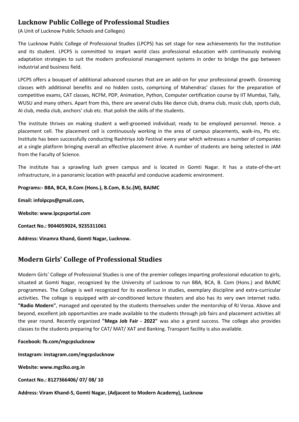# **Lucknow Public College of Professional Studies**

(A Unit of Lucknow Public Schools and Colleges)

The Lucknow Public College of Professional Studies (LPCPS) has set stage for new achievements for the Institution and its student. LPCPS is committed to impart world class professional education with continuously evolving adaptation strategies to suit the modern professional management systems in order to bridge the gap between industrial and business field.

LPCPS offers a bouquet of additional advanced courses that are an add-on for your professional growth. Grooming classes with additional benefits and no hidden costs, comprising of Mahendras' classes for the preparation of competitive exams, CAT classes, NCFM, PDP, Animation, Python, Computer certification course by IIT Mumbai, Tally, WUSU and many others. Apart from this, there are several clubs like dance club, drama club, music club, sports club, AI club, media club, anchors' club etc. that polish the skills of the students.

The institute thrives on making student a well-groomed individual; ready to be employed personnel. Hence. a placement cell. The placement cell is continuously working in the area of campus placements, walk-ins, PIs etc. Institute has been successfully conducting Rashtriya Job Festival every year which witnesses a number of companies at a single platform bringing overall an effective placement drive. A number of students are being selected in JAM from the Faculty of Science.

The institute has a sprawling lush green campus and is located in Gomti Nagar. It has a state-of-the-art infrastructure, in a panoramic location with peaceful and conducive academic environment.

#### **Programs:- BBA, BCA, B.Com (Hons.), B.Com, B.Sc.(M), BAJMC**

**Email: infolpcps@gmail.com,** 

**Website: www.lpcpsportal.com** 

**Contact No.: 9044059024, 9235311061**

**Address: Vinamra Khand, Gomti Nagar, Lucknow.** 

# **Modern Girls' College of Professional Studies**

Modern Girls' College of Professional Studies is one of the premier colleges imparting professional education to girls, situated at Gomti Nagar, recognized by the University of Lucknow to run BBA, BCA, B. Com (Hons.) and BAJMC programmes. The College is well recognized for its excellence in studies, exemplary discipline and extra-curricular activities. The college is equipped with air-conditioned lecture theaters and also has its very own internet radio. **"Radio Modern"**, managed and operated by the students themselves under the mentorship of RJ Veraa. Above and beyond, excellent job opportunities are made available to the students through job fairs and placement activities all the year round. Recently organized **"Mega Job Fair - 2022"** was also a grand success. The college also provides classes to the students preparing for CAT/ MAT/ XAT and Banking. Transport facility is also available.

#### **Facebook: fb.com/mgcpslucknow**

**Instagram: instagram.com/mgcpslucknow**

**Website: www.mgclko.org.in**

**Contact No.: 8127366406/ 07/ 08/ 10**

**Address: Viram Khand-5, Gomti Nagar, (Adjacent to Modern Academy), Lucknow**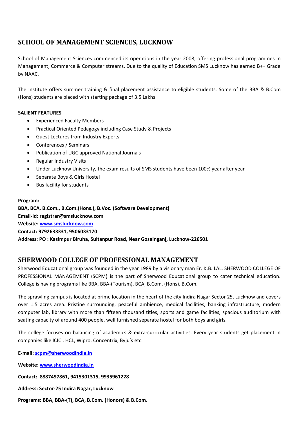# **SCHOOL OF MANAGEMENT SCIENCES, LUCKNOW**

School of Management Sciences commenced its operations in the year 2008, offering professional programmes in Management, Commerce & Computer streams. Due to the quality of Education SMS Lucknow has earned B++ Grade by NAAC.

The Institute offers summer training & final placement assistance to eligible students. Some of the BBA & B.Com (Hons) students are placed with starting package of 3.5 Lakhs

#### **SALIENT FEATURES**

- Experienced Faculty Members
- Practical Oriented Pedagogy including Case Study & Projects
- Guest Lectures from Industry Experts
- Conferences / Seminars
- Publication of UGC approved National Journals
- Regular Industry Visits
- Under Lucknow University, the exam results of SMS students have been 100% year after year
- Separate Boys & Girls Hostel
- Bus facility for students

#### **Program:**

**BBA, BCA, B.Com., B.Com.(Hons.), B.Voc. (Software Development) Email-Id: registrar@smslucknow.com Website: [www.smslucknow.com](http://www.smslucknow.com/) Contact: 9792633331, 9506033170 Address: PO : Kasimpur Biruha, Sultanpur Road, Near Gosainganj, Lucknow-226501**

## **SHERWOOD COLLEGE OF PROFESSIONAL MANAGEMENT**

Sherwood Educational group was founded in the year 1989 by a visionary man Er. K.B. LAL. SHERWOOD COLLEGE OF PROFESSIONAL MANAGEMENT (SCPM) is the part of Sherwood Educational group to cater technical education. College is having programs like BBA, BBA-(Tourism), BCA, B.Com. (Hons), B.Com.

The sprawling campus is located at prime location in the heart of the city Indira Nagar Sector 25, Lucknow and covers over 1.5 acres area. Pristine surrounding, peaceful ambience, medical facilities, banking infrastructure, modern computer lab, library with more than fifteen thousand titles, sports and game facilities, spacious auditorium with seating capacity of around 400 people, well furnished separate hostel for both boys and girls.

The college focuses on balancing of academics & extra-curricular activities. Every year students get placement in companies like ICICI, HCL, Wipro, Concentrix, Byju's etc.

**E-mail: [scpm@sherwoodindia.in](mailto:scpm@sherwoodindia.in)**

**Website: [www.sherwoodindia.in](http://www.sherwoodindia.in/)**

**Contact: 8887497861, 9415301315, 9935961228**

- **Address: Sector-25 Indira Nagar, Lucknow**
- **Programs: BBA, BBA-(T), BCA, B.Com. (Honors) & B.Com.**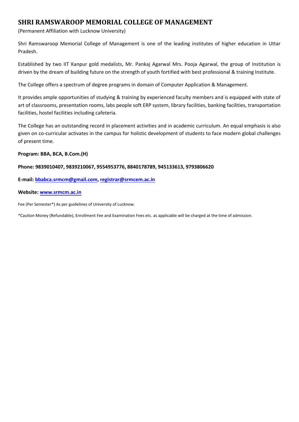## **SHRI RAMSWAROOP MEMORIAL COLLEGE OF MANAGEMENT**

(Permanent Affiliation with Lucknow University)

Shri Ramswaroop Memorial College of Management is one of the leading institutes of higher education in Uttar Pradesh.

Established by two IIT Kanpur gold medalists, Mr. Pankaj Agarwal Mrs. Pooja Agarwal, the group of Institution is driven by the dream of building future on the strength of youth fortified with best professional & training Institute.

The College offers a spectrum of degree programs in domain of Computer Application & Management.

It provides ample opportunities of studying & training by experienced faculty members and is equipped with state of art of classrooms, presentation rooms, labs people soft ERP system, library facilities, banking facilities, transportation facilities, hostel facilities including cafeteria.

The College has an outstanding record in placement activities and in academic curriculum. An equal emphasis is also given on co-curricular activates in the campus for holistic development of students to face modern global challenges of present time.

#### **Program: BBA, BCA, B.Com.(H)**

#### **Phone: 9839010407, 9839210067, 9554953776, 8840178789, 945133613, 9793806620**

**E-mail: [bbabca.srmcm@gmail.com,](mailto:bbabca.srmcm@gmail.com) [registrar@srmcem.ac.in](mailto:registrar@srmcem.ac.in)**

#### **Website: [www.srmcm.ac.in](http://www.srmcm.ac.in/)**

Fee (Per Semester\*) As per guidelines of University of Lucknow.

\*Caution Money (Refundable), Enrollment Fee and Examination Fees etc. as applicable will be charged at the time of admission.